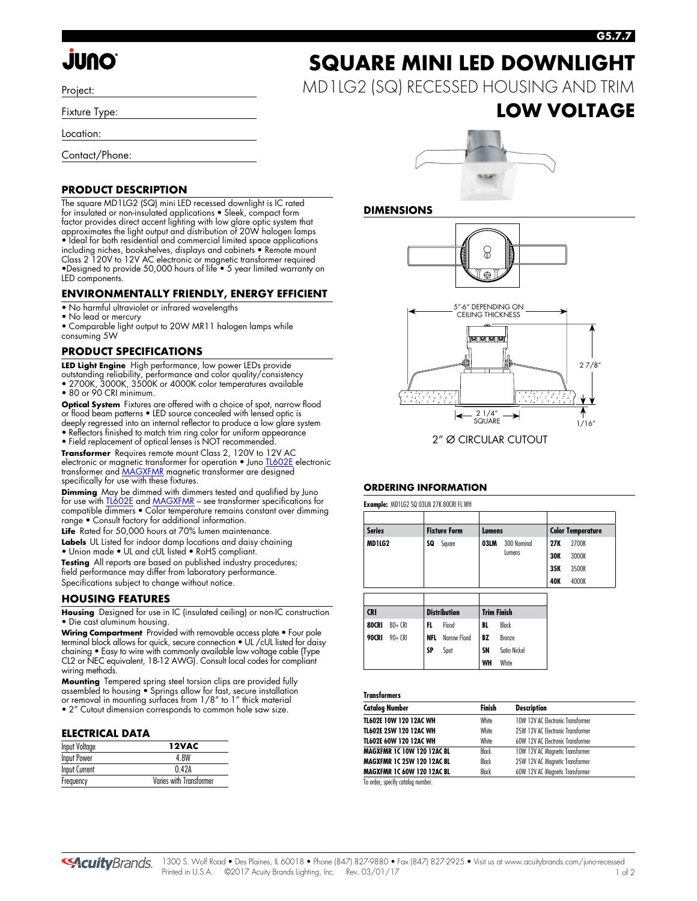# **JUNO**

Project:

Fixture Type:

Location:

Contact/Phone:

#### **PRODUCT DESCRIPTION**

The square MD1LG2 (SQ) mini LED recessed downlight is IC rated for insulated or non-insulated applications • Sleek, compact form factor provides direct accent lighting with low glare optic system that approximates the light output and distribution of 20W halogen lamps • Ideal for both residential and commercial limited space applications including niches, bookshelves, displays and cabinets • Remote mount Class 2 120V to 12V AC electronic or magnetic transformer required •Designed to provide 50,000 hours of life • 5 year limited warranty on LED components.

#### **ENVIRONMENTALLY FRIENDLY, ENERGY EFFICIENT**

- No harmful ultraviolet or infrared wavelengths
- No lead or mercury

• Comparable light output to 20W MR11 halogen lamps while consuming 5W

#### **PRODUCT SPECIFICATIONS**

**LED Light Engine** High performance, low power LEDs provide

- outstanding reliability, performance and color quality/consistency • 2700K, 3000K, 3500K or 4000K color temperatures available
- 80 or 90 CRI minimum.

**Optical System** Fixtures are offered with a choice of spot, narrow flood or flood beam patterns • LED source concealed with lensed optic is deeply regressed into an internal reflector to produce a low glare system

• Reflectors finished to match trim ring color for uniform appearance • Field replacement of optical lenses is NOT recommended.

**Transformer** Requires remote mount Class 2, 120V to 12V AC

electronic or magnetic transformer for operation • Jun[o TL602E e](http://www.acuitybrands.com/shell/-/media/Files/Acuity/Other/D3_1_9.pdf)lectronic transformer an[d MAGXFMR](http://www.acuitybrands.com/shell/-/media/Files/Acuity/Other/D3_1_10.pdf) magnetic transformer are designed specifically for use with these fixtures.

**Dimming** May be dimmed with dimmers tested and qualified by Juno for use wit[h TL602E a](http://www.acuitybrands.com/shell/-/media/Files/Acuity/Other/D3_1_9.pdf)n[d MAGXFMR –](http://www.acuitybrands.com/shell/-/media/Files/Acuity/Other/D3_1_10.pdf) see transformer specifications for compatible dimmers • Color temperature remains constant over dimming range • Consult factory for additional information.

**Life** Rated for 50,000 hours at 70% lumen maintenance.

**Labels** UL Listed for indoor damp locations and daisy chaining • Union made • UL and cUL listed • RoHS compliant.

**Testing** All reports are based on published industry procedures; field performance may differ from laboratory performance. Specifications subject to change without notice.

#### **HOUSING FEATURES**

**Housing** Designed for use in IC (insulated ceiling) or non-IC construction • Die cast aluminum housing.

**Wiring Compartment** Provided with removable access plate • Four pole terminal block allows for quick, secure connection • UL /cUL listed for daisy chaining • Easy to wire with commonly available low voltage cable (Type CL2 or NEC equivalent, 18-12 AWG). Consult local codes for compliant wiring methods.

**Mounting** Tempered spring steel torsion clips are provided fully assembled to housing • Springs allow for fast, secure installation or removal in mounting surfaces from 1/8" to 1" thick material • 2" Cutout dimension corresponds to common hole saw size.

#### **ELECTRICAL DATA**

| <b>Input Voltage</b> | 12VAC                   |
|----------------------|-------------------------|
| Input Power          | 4 8W                    |
| Input Current        | 042A                    |
| Frequency            | Varies with Transformer |



MD1LG2 (SQ) RECESSED HOUSING AND TRIM

## **LOW VOLTAGE**



#### **DIMENSIONS**





#### **ORDERING INFORMATION**

**Example:** MD1LG2 SQ 03LM 27K 80CRI FL WH

| <b>Series</b>                     |           |                    | <b>Fixture Form</b> |           | Lumens              |            | <b>Color Temperature</b> |
|-----------------------------------|-----------|--------------------|---------------------|-----------|---------------------|------------|--------------------------|
| MD1LG2                            |           | SQ                 | Square              |           | 03LM<br>300 Nominal |            | 2700K                    |
|                                   |           |                    |                     |           | Lumens              |            | 3000K                    |
|                                   |           |                    |                     |           |                     | 35K        | 3500K                    |
|                                   |           |                    |                     |           |                     | <b>40K</b> | 4000K                    |
|                                   |           |                    |                     |           |                     |            |                          |
| <b>Distribution</b><br><b>CRI</b> |           | <b>Trim Finish</b> |                     |           |                     |            |                          |
| 80CRI                             | $80 + CR$ | FL.                | Flood               | BL        | Black               |            |                          |
| 90CRI                             | $90 + CR$ | <b>NFL</b>         | Narrow Flood        | BZ        | Bronze              |            |                          |
|                                   |           | SP                 | Spot                | <b>SN</b> | Satin Nickel        |            |                          |
|                                   |           |                    |                     | WH        | White               |            |                          |

#### **Transformers**

|       | <b>Description</b>                |
|-------|-----------------------------------|
| White | 10W 12V AC Electronic Transformer |
| White | 25W 12V AC Electronic Transformer |
| White | 60W 12V AC Electronic Transformer |
| Black | 10W 12V AC Magnetic Transformer   |
| Black | 25W 12V AC Magnetic Transformer   |
| Black | 60W 12V AC Magnetic Transformer   |
|       |                                   |

To order, specify catalog number.

#### **G5.7.7**